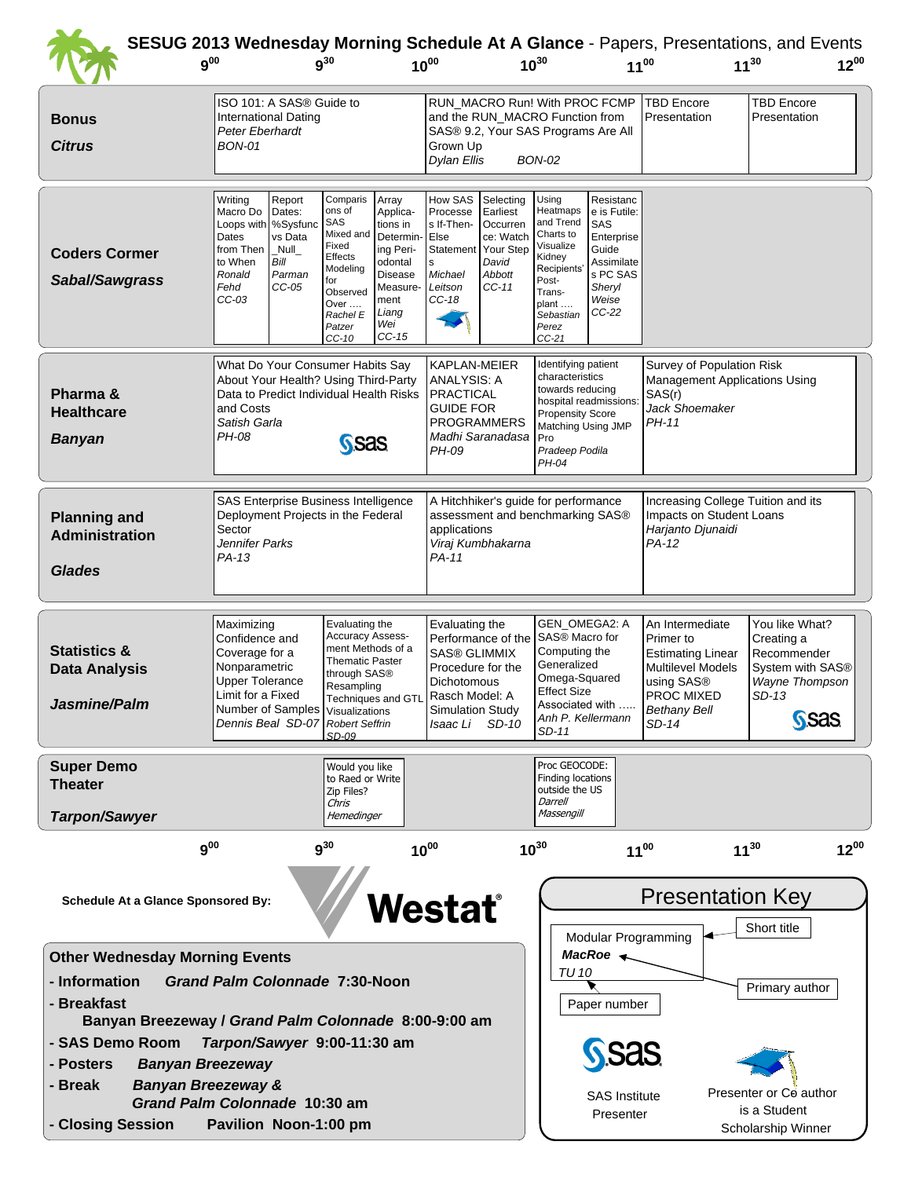|                                                                                                                                                                                                                                                                                                                                                                                                                                                                                         | $9^{00}$                                                                                                                                                                                 | $q^{30}$                                                                                                                                                                                                                                                                 | $10^{00}$                                                                                                                                                                                 | $10^{30}$                                                                                                                                                                                                                                                        | <b>SESUG 2013 Wednesday Morning Schedule At A Glance - Papers, Presentations, and Events</b><br>$11^{30}$<br>$11^{00}$                                                                                                                                                    | $12^{00}$                                                                      |
|-----------------------------------------------------------------------------------------------------------------------------------------------------------------------------------------------------------------------------------------------------------------------------------------------------------------------------------------------------------------------------------------------------------------------------------------------------------------------------------------|------------------------------------------------------------------------------------------------------------------------------------------------------------------------------------------|--------------------------------------------------------------------------------------------------------------------------------------------------------------------------------------------------------------------------------------------------------------------------|-------------------------------------------------------------------------------------------------------------------------------------------------------------------------------------------|------------------------------------------------------------------------------------------------------------------------------------------------------------------------------------------------------------------------------------------------------------------|---------------------------------------------------------------------------------------------------------------------------------------------------------------------------------------------------------------------------------------------------------------------------|--------------------------------------------------------------------------------|
| <b>Bonus</b><br><b>Citrus</b>                                                                                                                                                                                                                                                                                                                                                                                                                                                           | ISO 101: A SAS® Guide to<br>International Dating<br>Peter Eberhardt<br><b>BON-01</b>                                                                                                     |                                                                                                                                                                                                                                                                          | and the RUN_MACRO Function from<br>SAS® 9.2, Your SAS Programs Are All<br>Grown Up<br><b>Dylan Ellis</b>                                                                                  | RUN_MACRO Run! With PROC FCMP<br><b>BON-02</b>                                                                                                                                                                                                                   | <b>TBD Encore</b><br>Presentation                                                                                                                                                                                                                                         | <b>TBD Encore</b><br>Presentation                                              |
| <b>Coders Cormer</b><br>Sabal/Sawgrass                                                                                                                                                                                                                                                                                                                                                                                                                                                  | Writing<br>Report<br>Macro Do<br>Dates:<br>Loops with   %Sysfunc<br>Dates<br>vs Data<br>from Then<br>Null<br>to When<br>Bill<br>Parman<br>Ronald<br>Fehd<br>$CC-05$<br>$CC-03$           | Comparis<br>Array<br>ons of<br>Applica-<br>SAS<br>tions in<br>Mixed and<br>Determin<br>Fixed<br>ing Peri-<br>Effects<br>odontal<br>Modeling<br><b>Disease</b><br>for<br>Measure-<br>Observed<br>ment<br>Over<br>Liang<br>Rachel E<br>Wei<br>Patzer<br>$CC-15$<br>$CC-10$ | How SAS<br>Selecting<br>Processe<br>Earliest<br>s If-Then-<br>Occurren<br>Else<br>ce: Watch<br>Your Step<br>Statement<br>David<br>s<br>Michael<br>Abbott<br>Leitson<br>$CC-11$<br>$CC-18$ | Resistanc<br>Using<br>Heatmaps<br>e is Futile:<br>and Trend<br>SAS<br>Charts to<br>Enterprise<br>Visualize<br>Guide<br>Kidney<br>Assimilate<br>Recipients<br>s PC SAS<br>Post-<br>Sheryl<br>Trans-<br>Weise<br>plant<br>$CC-22$<br>Sebastian<br>Perez<br>$CC-21$ |                                                                                                                                                                                                                                                                           |                                                                                |
| Pharma &<br><b>Healthcare</b><br><b>Banyan</b>                                                                                                                                                                                                                                                                                                                                                                                                                                          | What Do Your Consumer Habits Say<br>About Your Health? Using Third-Party<br>and Costs<br>Satish Garla<br>PH-08                                                                           | Data to Predict Individual Health Risks<br><b>SSAS</b>                                                                                                                                                                                                                   | KAPLAN-MEIER<br><b>ANALYSIS: A</b><br><b>PRACTICAL</b><br><b>GUIDE FOR</b><br><b>PROGRAMMERS</b><br>Madhi Saranadasa<br>PH-09                                                             | Identifying patient<br>characteristics<br>towards reducing<br>hospital readmissions:<br><b>Propensity Score</b><br>Matching Using JMP<br>Pro<br>Pradeep Podila<br>PH-04                                                                                          | Survey of Population Risk<br><b>Management Applications Using</b><br>SAS(r)<br>Jack Shoemaker<br>PH-11                                                                                                                                                                    |                                                                                |
| <b>Planning and</b><br><b>Administration</b><br><b>Glades</b>                                                                                                                                                                                                                                                                                                                                                                                                                           | <b>SAS Enterprise Business Intelligence</b><br>Deployment Projects in the Federal<br>Sector<br>Jennifer Parks<br>PA-13                                                                   |                                                                                                                                                                                                                                                                          | A Hitchhiker's guide for performance<br>assessment and benchmarking SAS®<br>applications<br>Viraj Kumbhakarna<br>PA-11                                                                    |                                                                                                                                                                                                                                                                  | Increasing College Tuition and its<br>Impacts on Student Loans<br>Harjanto Djunaidi<br>PA-12                                                                                                                                                                              |                                                                                |
| <b>Statistics &amp;</b><br><b>Data Analysis</b><br>Jasmine/Palm                                                                                                                                                                                                                                                                                                                                                                                                                         | Maximizing<br>Confidence and<br>Coverage for a<br>Nonparametric<br><b>Upper Tolerance</b><br>Limit for a Fixed<br>Number of Samples   Visualizations<br>Dennis Beal SD-07 Robert Seffrin | Evaluating the<br><b>Accuracy Assess-</b><br>ment Methods of a<br><b>Thematic Paster</b><br>through SAS <sup>®</sup><br>Resampling<br>Techniques and GTL<br>SD-09                                                                                                        | Evaluating the<br>Performance of the<br><b>SAS® GLIMMIX</b><br>Procedure for the<br>Dichotomous<br>Rasch Model: A<br><b>Simulation Study</b><br>Isaac Li SD-10                            | GEN_OMEGA2: A<br>SAS® Macro for<br>Computing the<br>Generalized<br>Omega-Squared<br><b>Effect Size</b><br>Associated with<br>Anh P. Kellermann<br>SD-11                                                                                                          | You like What?<br>An Intermediate<br>Primer to<br>Creating a<br><b>Estimating Linear</b><br>Recommender<br><b>Multilevel Models</b><br>System with SAS®<br>using SAS <sup>®</sup><br>Wayne Thompson<br>PROC MIXED<br>SD-13<br><b>Bethany Bell</b><br><b>SSAS</b><br>SD-14 |                                                                                |
| <b>Super Demo</b><br><b>Theater</b><br><b>Tarpon/Sawyer</b>                                                                                                                                                                                                                                                                                                                                                                                                                             |                                                                                                                                                                                          | Would you like<br>to Raed or Write<br>Zip Files?<br>Chris<br>Hemedinger                                                                                                                                                                                                  |                                                                                                                                                                                           | Proc GEOCODE:<br>Finding locations<br>outside the US<br>Darrell<br>Massengill                                                                                                                                                                                    |                                                                                                                                                                                                                                                                           |                                                                                |
| $9^{00}$<br>$9^{30}$<br>$10^{30}$<br>$12^{00}$<br>$10^{00}$<br>$11^{30}$<br>$11^{00}$<br><b>Presentation Key</b><br>Westať<br><b>Schedule At a Glance Sponsored By:</b><br>Short title<br>Modular Programming                                                                                                                                                                                                                                                                           |                                                                                                                                                                                          |                                                                                                                                                                                                                                                                          |                                                                                                                                                                                           |                                                                                                                                                                                                                                                                  |                                                                                                                                                                                                                                                                           |                                                                                |
| MacRoe $\leftarrow$<br><b>Other Wednesday Morning Events</b><br><b>TU 10</b><br>- Information<br><b>Grand Palm Colonnade 7:30-Noon</b><br>- Breakfast<br>Paper number<br>Banyan Breezeway / Grand Palm Colonnade 8:00-9:00 am<br>- SAS Demo Room<br>Tarpon/Sawyer 9:00-11:30 am<br>- Posters<br><b>Banyan Breezeway</b><br><b>Banyan Breezeway &amp;</b><br>- Break<br><b>SAS Institute</b><br>Grand Palm Colonnade 10:30 am<br>Presenter<br>- Closing Session<br>Pavilion Noon-1:00 pm |                                                                                                                                                                                          |                                                                                                                                                                                                                                                                          |                                                                                                                                                                                           |                                                                                                                                                                                                                                                                  |                                                                                                                                                                                                                                                                           | Primary author<br>Presenter or Co author<br>is a Student<br>Scholarship Winner |